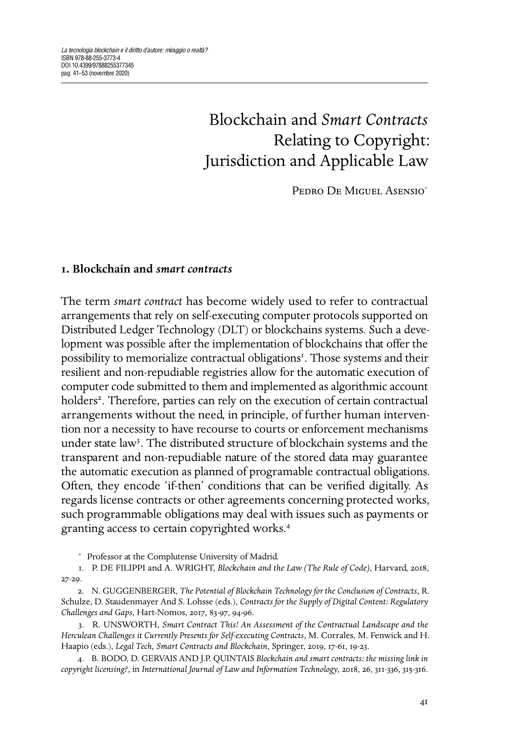# Blockchain and *Smart Contracts* Relating to Copyright: Jurisdiction and Applicable Law

PEDRO DE MIGUEL ASENSIO<sup>\*</sup>

## <span id="page-0-0"></span>**. Blockchain and** *smart contracts*

The term *smart contract* has become widely used to refer to contractual arrangements that rely on self-executing computer protocols supported on Distributed Ledger Technology (DLT) or blockchains systems. Such a development was possible after the implementation of blockchains that offer the possibility to memorialize contractual obligations . Those systems and their resilient and non-repudiable registries allow for the automatic execution of computer code submitted to them and implemented as algorithmic account holders . Therefore, parties can rely on the execution of certain contractual arrangements without the need, in principle, of further human intervention nor a necessity to have recourse to courts or enforcement mechanisms under state law<sup>3</sup>. The distributed structure of blockchain systems and the transparent and non-repudiable nature of the stored data may guarantee the automatic execution as planned of programable contractual obligations. Often, they encode 'if-then' conditions that can be verified digitally. As regards license contracts or other agreements concerning protected works, such programmable obligations may deal with issues such as payments or granting access to certain copyrighted works.

<span id="page-0-3"></span>. R. UNSWORTH, *Smart Contract This! An Assessment of the Contractual Landscape and the Herculean Challenges it Currently Presents for Self-executing Contracts*, M. Corrales, M. Fenwick and H. Haapio (eds.), *Legal Tech, Smart Contracts and Blockchain*, Springer, 2019, 17-61, 19-23.

<span id="page-0-4"></span>. B. BODO, D. GERVAIS AND J.P. QUINTAIS *Blockchain and smart contracts: the missing link in copyright licensing?*, in *International Journal of Law and Information Technology*, 2018, 26, 311-336, 315-316.

<span id="page-0-1"></span><sup>∗</sup> Professor at the Complutense University of Madrid.

<sup>1.</sup> P. DE FILIPPI and A. WRIGHT, *Blockchain and the Law (The Rule of Code)*, Harvard, 2018,  $27 - 29.$ 

<span id="page-0-2"></span><sup>.</sup> N. GUGGENBERGER, *The Potential of Blockchain Technology for the Conclusion of Contracts*, R. Schulze, D. Staudenmayer And S. Lohsse (eds.), *Contracts for the Supply of Digital Content: Regulatory Challenges and Gaps*, Hart-Nomos, 2017, 83-97, 94-96.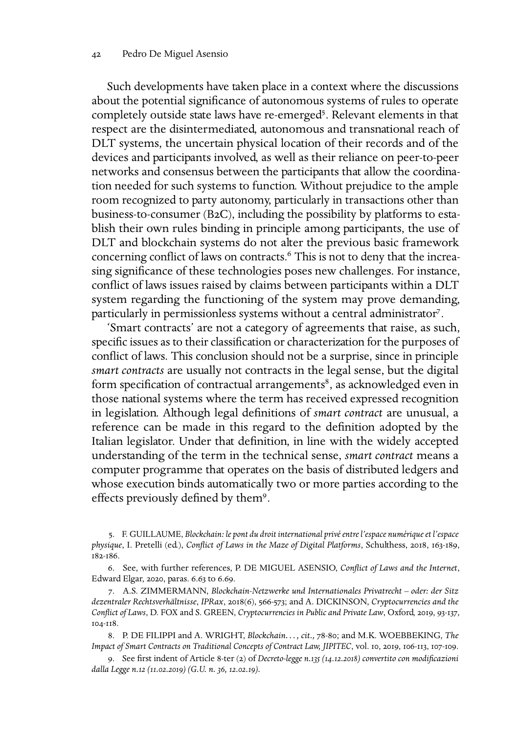#### Pedro De Miguel Asensio

Such developments have taken place in a context where the discussions about the potential significance of autonomous systems of rules to operate completely outside state laws have re-emerge[d](#page-1-0) . Relevant elements in that respect are the disintermediated, autonomous and transnational reach of DLT systems, the uncertain physical location of their records and of the devices and participants involved, as well as their reliance on peer-to-peer networks and consensus between the participants that allow the coordination needed for such systems to function. Without prejudice to the ample room recognized to party autonomy, particularly in transactions other than business-to-consumer  $(B2C)$ , including the possibility by platforms to establish their own rules binding in principle among participants, the use of DLT and blockchain systems do not alter the previous basic framework concerning conflict of laws on contracts.<sup>6</sup> This is not to deny that the increasing significance of these technologies poses new challenges. For instance, conflict of laws issues raised by claims between participants within a DLT system regarding the functioning of the system may prove demanding, particularly in permissionless systems without a central administrator .

'Smart contracts' are not a category of agreements that raise, as such, specific issues as to their classification or characterization for the purposes of conflict of laws. This conclusion should not be a surprise, since in principle *smart contracts* are usually not contracts in the legal sense, but the digital form specification of contractual arrangements<sup>8</sup>, as acknowledged even in those national systems where the term has received expressed recognition in legislation. Although legal definitions of *smart contract* are unusual, a reference can be made in this regard to the definition adopted by the Italian legislator. Under that definition, in line with the widely accepted understanding of the term in the technical sense, *smart contract* means a computer programme that operates on the basis of distributed ledgers and whose execution binds automatically two or more parties according to the effects previously defined by them<sup>9</sup>.

<span id="page-1-0"></span>. F. GUILLAUME, *Blockchain: le pont du droit international privé entre l'espace numérique et l'espace* physique, I. Pretelli (ed.), *Conflict of Laws in the Maze of Digital Platforms*, Schulthess, 2018, 163-189, 182-186.

<span id="page-1-1"></span>. See, with further references, P. DE MIGUEL ASENSIO, *Conflict of Laws and the Internet*, Edward Elgar, 2020, paras. 6.63 to 6.69.

<span id="page-1-2"></span>. A.S. ZIMMERMANN, *Blockchain-Netzwerke und Internationales Privatrecht – oder: der Sitz* dezentraler Rechtsverhältnisse, *IPRax*, 2018(6), 566-573; and A. DICKINSON, *Cryptocurrencies and the Conflict of Laws*, D. FOX and S. GREEN, *Cryptocurrencies in Public and Private Law*, Oxford, 2019, 93-137, 104-118.

<span id="page-1-3"></span>8. P. DE FILIPPI and A. WRIGHT, *Blockchain..., cit.,* 78-80; and M.K. WOEBBEKING, *The Impact of Smart Contracts on Traditional Concepts of Contract Law, JIPITEC*, vol. 10, 2019, 106-113, 107-109.

<span id="page-1-4"></span>9. See first indent of Article 8-ter (2) of *Decreto-legge n. 135 (14.12.2018) convertito con modificazioni dalla Legge n. (..) (G.U. n. , ..).*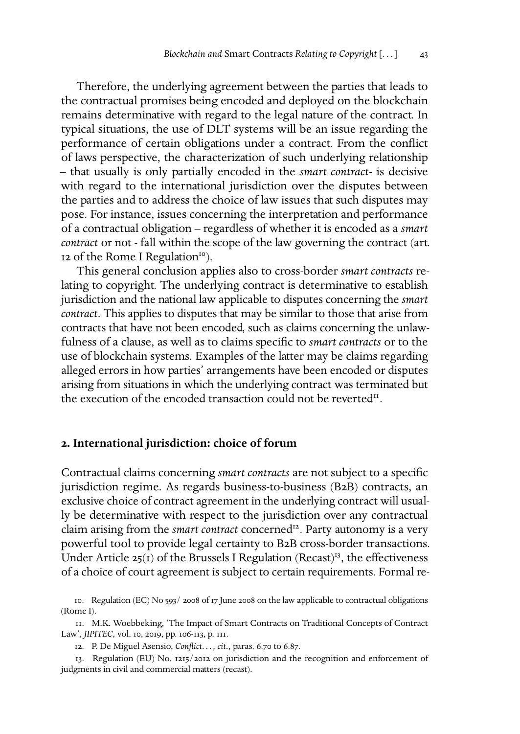Therefore, the underlying agreement between the parties that leads to the contractual promises being encoded and deployed on the blockchain remains determinative with regard to the legal nature of the contract. In typical situations, the use of DLT systems will be an issue regarding the performance of certain obligations under a contract. From the conflict of laws perspective, the characterization of such underlying relationship – that usually is only partially encoded in the *smart contract*- is decisive with regard to the international jurisdiction over the disputes between the parties and to address the choice of law issues that such disputes may pose. For instance, issues concerning the interpretation and performance of a contractual obligation – regardless of whether it is encoded as a *smart contract* or not - fall within the scope of the law governing the contract (art. 12 of the Rome I Regulation<sup>10</sup>).

This general conclusion applies also to cross-border *smart contracts* relating to copyright. The underlying contract is determinative to establish jurisdiction and the national law applicable to disputes concerning the *smart contract*. This applies to disputes that may be similar to those that arise from contracts that have not been encoded, such as claims concerning the unlawfulness of a clause, as well as to claims specific to *smart contracts* or to the use of blockchain systems. Examples of the latter may be claims regarding alleged errors in how parties' arrangements have been encoded or disputes arising from situations in which the underlying contract was terminated but the execution of the encoded transaction could not be reverted<sup>11</sup>.

#### **. International jurisdiction: choice of forum**

Contractual claims concerning *smart contracts* are not subject to a specific jurisdiction regime. As regards business-to-business (B2B) contracts, an exclusive choice of contract agreement in the underlying contract will usually be determinative with respect to the jurisdiction over any contractual claim arising from the *smart contract* concerned<sup>12</sup>. Party autonomy is a very powerful tool to provide legal certainty to B2B cross-border transactions. Under Article  $25(I)$  of the Brussels I Regulation (Recast)<sup>13</sup>, the effectiveness of a choice of court agreement is subject to certain requirements. Formal re-

13. Regulation (EU) No. 1215/2012 on jurisdiction and the recognition and enforcement of judgments in civil and commercial matters (recast).

<span id="page-2-0"></span><sup>10.</sup> Regulation (EC) No 593/2008 of 17 June 2008 on the law applicable to contractual obligations (Rome I).

<span id="page-2-1"></span><sup>.</sup> M.K. Woebbeking, 'The Impact of Smart Contracts on Traditional Concepts of Contract Law', *JIPITEC*, vol. 10, 2019, pp. 106-113, p. 111.

<span id="page-2-3"></span><span id="page-2-2"></span><sup>12.</sup> P. De Miguel Asensio, *Conflict...*, *cit.*, paras. 6.70 to 6.87.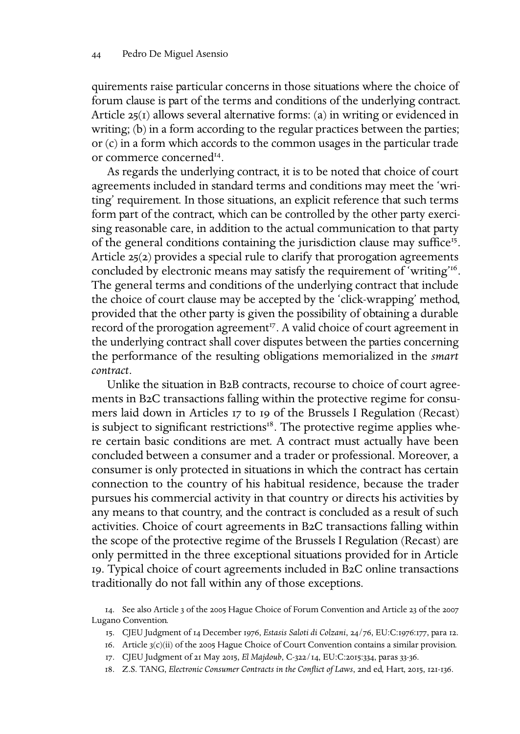quirements raise particular concerns in those situations where the choice of forum clause is part of the terms and conditions of the underlying contract. Article  $25(1)$  allows several alternative forms: (a) in writing or evidenced in writing; (b) in a form according to the regular practices between the parties; or (c) in a form which accords to the common usages in the particular trade or commerce concerned .

As regards the underlying contract, it is to be noted that choice of court agreements included in standard terms and conditions may meet the 'writing' requirement. In those situations, an explicit reference that such terms form part of the contract, which can be controlled by the other party exercising reasonable care, in addition to the actual communication to that party of the general conditions containing the jurisdiction clause may suffice<sup>15</sup>. Article  $25(2)$  provides a special rule to clarify that prorogation agreements concluded by electronic means may satisfy the requirement of 'writing' . The general terms and conditions of the underlying contract that include the choice of court clause may be accepted by the 'click-wrapping' method, provided that the other party is given the possibility of obtaining a durable record of the prorogation agreement<sup>17</sup>. A valid choice of court agreement in the underlying contract shall cover disputes between the parties concerning the performance of the resulting obligations memorialized in the *smart contract*.

Unlike the situation in B2B contracts, recourse to choice of court agreements in B2C transactions falling within the protective regime for consumers laid down in Articles 17 to 19 of the Brussels I Regulation (Recast) is subject to significant restrictions $I^8$ . The protective regime applies where certain basic conditions are met. A contract must actually have been concluded between a consumer and a trader or professional. Moreover, a consumer is only protected in situations in which the contract has certain connection to the country of his habitual residence, because the trader pursues his commercial activity in that country or directs his activities by any means to that country, and the contract is concluded as a result of such activities. Choice of court agreements in B2C transactions falling within the scope of the protective regime of the Brussels I Regulation (Recast) are only permitted in the three exceptional situations provided for in Article 19. Typical choice of court agreements included in B2C online transactions traditionally do not fall within any of those exceptions.

<span id="page-3-0"></span>14. See also Article 3 of the 2005 Hague Choice of Forum Convention and Article 23 of the 2007 Lugano Convention.

- <span id="page-3-1"></span>15. CJEU Judgment of 14 December 1976, *Estasis Saloti di Colzani*, 24/76, EU:C:1976:177, para 12.
- <span id="page-3-2"></span>16. Article  $3(c)(ii)$  of the 2005 Hague Choice of Court Convention contains a similar provision.
- <span id="page-3-3"></span>17. CJEU Judgment of 21 May 2015, *El Majdoub*, C-322/14, EU:C:2015:334, paras 33-36.
- <span id="page-3-4"></span>18. Z.S. TANG, *Electronic Consumer Contracts in the Conflict of Laws*, 2nd ed, Hart, 2015, 121-136.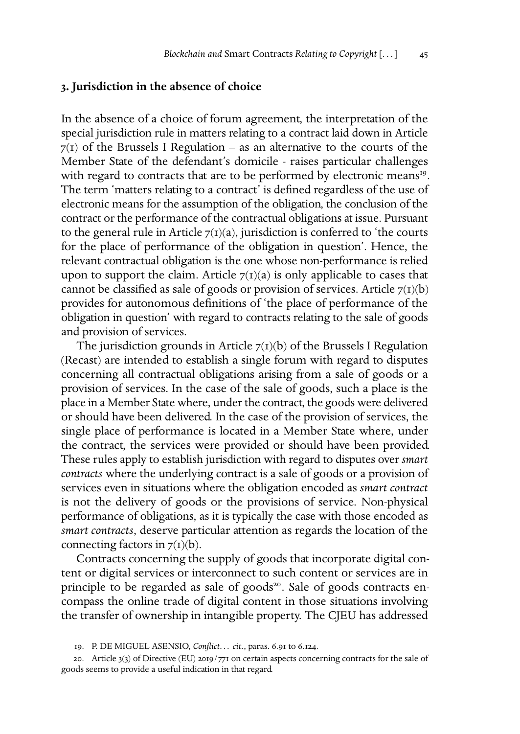#### **. Jurisdiction in the absence of choice**

In the absence of a choice of forum agreement, the interpretation of the special jurisdiction rule in matters relating to a contract laid down in Article  $7(1)$  of the Brussels I Regulation – as an alternative to the courts of the Member State of the defendant's domicile - raises particular challenges with regard to contracts that are to be performed by electronic means<sup>19</sup>. The term 'matters relating to a contract' is defined regardless of the use of electronic means for the assumption of the obligation, the conclusion of the contract or the performance of the contractual obligations at issue. Pursuant to the general rule in Article  $7(1)(a)$ , jurisdiction is conferred to 'the courts for the place of performance of the obligation in question'. Hence, the relevant contractual obligation is the one whose non-performance is relied upon to support the claim. Article  $7(1)(a)$  is only applicable to cases that cannot be classified as sale of goods or provision of services. Article  $7(1)(b)$ provides for autonomous definitions of 'the place of performance of the obligation in question' with regard to contracts relating to the sale of goods and provision of services.

The jurisdiction grounds in Article  $7(I)(b)$  of the Brussels I Regulation (Recast) are intended to establish a single forum with regard to disputes concerning all contractual obligations arising from a sale of goods or a provision of services. In the case of the sale of goods, such a place is the place in a Member State where, under the contract, the goods were delivered or should have been delivered. In the case of the provision of services, the single place of performance is located in a Member State where, under the contract, the services were provided or should have been provided. These rules apply to establish jurisdiction with regard to disputes over *smart contracts* where the underlying contract is a sale of goods or a provision of services even in situations where the obligation encoded as *smart contract* is not the delivery of goods or the provisions of service. Non-physical performance of obligations, as it is typically the case with those encoded as *smart contracts*, deserve particular attention as regards the location of the connecting factors in  $7(I)(b)$ .

Contracts concerning the supply of goods that incorporate digital content or digital services or interconnect to such content or services are in principle to be regarded as sale of goods<sup>20</sup>. Sale of goods contracts encompass the online trade of digital content in those situations involving the transfer of ownership in intangible property. The CJEU has addressed

<span id="page-4-1"></span><span id="page-4-0"></span><sup>19.</sup> P. DE MIGUEL ASENSIO, *Conflict... cit.*, paras. 6.91 to 6.124.

<sup>20.</sup> Article  $3(3)$  of Directive (EU) 2019/771 on certain aspects concerning contracts for the sale of goods seems to provide a useful indication in that regard.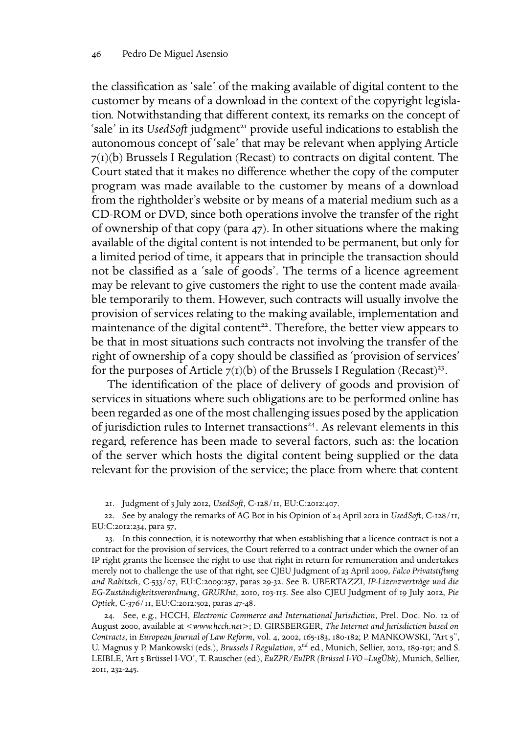the classification as 'sale' of the making available of digital content to the customer by means of a download in the context of the copyright legislation. Notwithstanding that different context, its remarks on the concept of 'sale' in its *UsedSoft* judgment<sup>21</sup> provide useful indications to establish the autonomous concept of 'sale' that may be relevant when applying Article  $7(I)(b)$  Brussels I Regulation (Recast) to contracts on digital content. The Court stated that it makes no difference whether the copy of the computer program was made available to the customer by means of a download from the rightholder's website or by means of a material medium such as a CD-ROM or DVD, since both operations involve the transfer of the right of ownership of that copy (para  $47$ ). In other situations where the making available of the digital content is not intended to be permanent, but only for a limited period of time, it appears that in principle the transaction should not be classified as a 'sale of goods'. The terms of a licence agreement may be relevant to give customers the right to use the content made available temporarily to them. However, such contracts will usually involve the provision of services relating to the making available, implementation and maintenance of the digital content<sup>22</sup>. Therefore, the better view appears to be that in most situations such contracts not involving the transfer of the right of ownership of a copy should be classified as 'provision of services' for the purposes of Article  $7(1)(b)$  of the Brussels I Regulation (Recast)<sup>23</sup>.

The identification of the place of delivery of goods and provision of services in situations where such obligations are to be performed online has been regarded as one of the most challenging issues posed by the application of jurisdiction rules to Internet transactions<sup>24</sup>. As relevant elements in this regard, reference has been made to several factors, such as: the location of the server which hosts the digital content being supplied or the data relevant for the provision of the service; the place from where that content

<span id="page-5-1"></span><span id="page-5-0"></span>21. Judgment of 3 July 2012, *UsedSoft*, C-128/11, EU:C:2012:407.

22. See by analogy the remarks of AG Bot in his Opinion of 24 April 2012 in *UsedSoft*, C-128/11, EU:C:2012:234, para 57,

<span id="page-5-2"></span>. In this connection, it is noteworthy that when establishing that a licence contract is not a contract for the provision of services, the Court referred to a contract under which the owner of an IP right grants the licensee the right to use that right in return for remuneration and undertakes merely not to challenge the use of that right, see CJEU Judgment of 23 April 2009, *Falco Privatstiftung* and Rabitsch, C-533/07, EU:C:2009:257, paras 29-32. See B. UBERTAZZI, *IP-Lizenzverträge und die* EG-Zuständigkeitsverordnung, GRURInt, 2010, 103-115. See also CJEU Judgment of 19 July 2012, Pie Optiek, C-376/II, EU:C:2012:502, paras 47-48.

<span id="page-5-3"></span>24. See, e.g., HCCH, *Electronic Commerce and International Jurisdiction*, Prel. Doc. No. 12 of August , available at <*www.hcch.net*>; D. GIRSBERGER, *The Internet and Jurisdiction based on Contracts*, in *European Journal of Law Reform*, vol. 4, 2002, 165-183, 180-182; P. MANKOWSKI, "Art 5", U. Magnus y P. Mankowski (eds.), *Brussels I Regulation*, 2<sup>nd</sup> ed., Munich, Sellier, 2012, 189-191; and S. LEIBLE, 'Art Brüssel I-VO', T. Rauscher (ed.), *EuZPR/EuIPR (Brüssel I-VO –LugÜbk)*, Munich, Sellier, 20II, 232-245.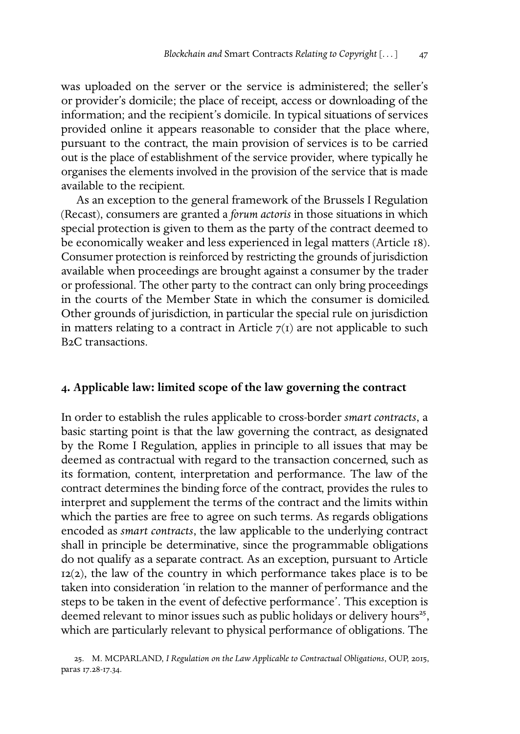was uploaded on the server or the service is administered; the seller's or provider's domicile; the place of receipt, access or downloading of the information; and the recipient's domicile. In typical situations of services provided online it appears reasonable to consider that the place where, pursuant to the contract, the main provision of services is to be carried out is the place of establishment of the service provider, where typically he organises the elements involved in the provision of the service that is made available to the recipient.

As an exception to the general framework of the Brussels I Regulation (Recast), consumers are granted a *forum actoris* in those situations in which special protection is given to them as the party of the contract deemed to be economically weaker and less experienced in legal matters (Article 18). Consumer protection is reinforced by restricting the grounds of jurisdiction available when proceedings are brought against a consumer by the trader or professional. The other party to the contract can only bring proceedings in the courts of the Member State in which the consumer is domiciled. Other grounds of jurisdiction, in particular the special rule on jurisdiction in matters relating to a contract in Article  $7(1)$  are not applicable to such B<sub>2</sub>C transactions.

# **. Applicable law: limited scope of the law governing the contract**

<span id="page-6-0"></span>In order to establish the rules applicable to cross-border *smart contracts*, a basic starting point is that the law governing the contract, as designated by the Rome I Regulation, applies in principle to all issues that may be deemed as contractual with regard to the transaction concerned, such as its formation, content, interpretation and performance. The law of the contract determines the binding force of the contract, provides the rules to interpret and supplement the terms of the contract and the limits within which the parties are free to agree on such terms. As regards obligations encoded as *smart contracts*, the law applicable to the underlying contract shall in principle be determinative, since the programmable obligations do not qualify as a separate contract. As an exception, pursuant to Article  $12(2)$ , the law of the country in which performance takes place is to be taken into consideration 'in relation to the manner of performance and the steps to be taken in the event of defective performance'. This exception is deemed relevant to minor issues such as public holidays or delivery hours , which are particularly relevant to physical performance of obligations. The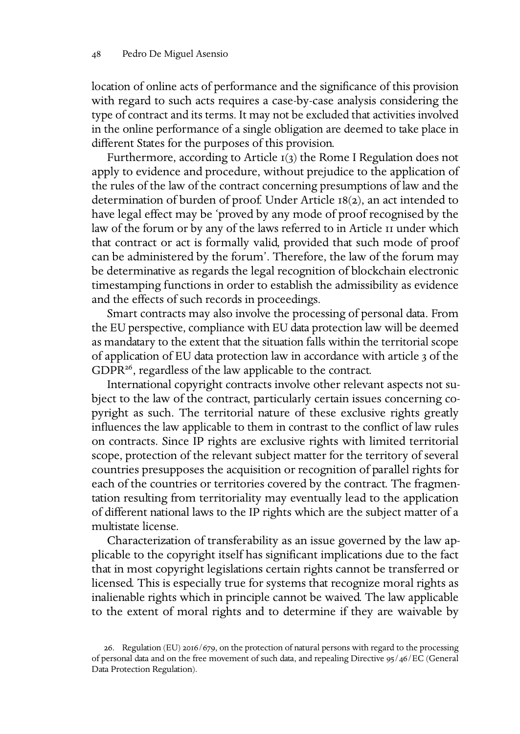location of online acts of performance and the significance of this provision with regard to such acts requires a case-by-case analysis considering the type of contract and its terms. It may not be excluded that activities involved in the online performance of a single obligation are deemed to take place in different States for the purposes of this provision.

Furthermore, according to Article  $I(3)$  the Rome I Regulation does not apply to evidence and procedure, without prejudice to the application of the rules of the law of the contract concerning presumptions of law and the determination of burden of proof. Under Article  $18(2)$ , an act intended to have legal effect may be 'proved by any mode of proof recognised by the law of the forum or by any of the laws referred to in Article II under which that contract or act is formally valid, provided that such mode of proof can be administered by the forum'. Therefore, the law of the forum may be determinative as regards the legal recognition of blockchain electronic timestamping functions in order to establish the admissibility as evidence and the effects of such records in proceedings.

Smart contracts may also involve the processing of personal data. From the EU perspective, compliance with EU data protection law will be deemed as mandatary to the extent that the situation falls within the territorial scope of application of EU data protection law in accordance with article 3 of the  $GDPR^{26}$ , regardless of the law applicable to the contract.

International copyright contracts involve other relevant aspects not subject to the law of the contract, particularly certain issues concerning copyright as such. The territorial nature of these exclusive rights greatly influences the law applicable to them in contrast to the conflict of law rules on contracts. Since IP rights are exclusive rights with limited territorial scope, protection of the relevant subject matter for the territory of several countries presupposes the acquisition or recognition of parallel rights for each of the countries or territories covered by the contract. The fragmentation resulting from territoriality may eventually lead to the application of different national laws to the IP rights which are the subject matter of a multistate license.

Characterization of transferability as an issue governed by the law applicable to the copyright itself has significant implications due to the fact that in most copyright legislations certain rights cannot be transferred or licensed. This is especially true for systems that recognize moral rights as inalienable rights which in principle cannot be waived. The law applicable to the extent of moral rights and to determine if they are waivable by

<span id="page-7-0"></span><sup>26.</sup> Regulation (EU)  $2016/679$ , on the protection of natural persons with regard to the processing of personal data and on the free movement of such data, and repealing Directive 95/46/EC (General Data Protection Regulation).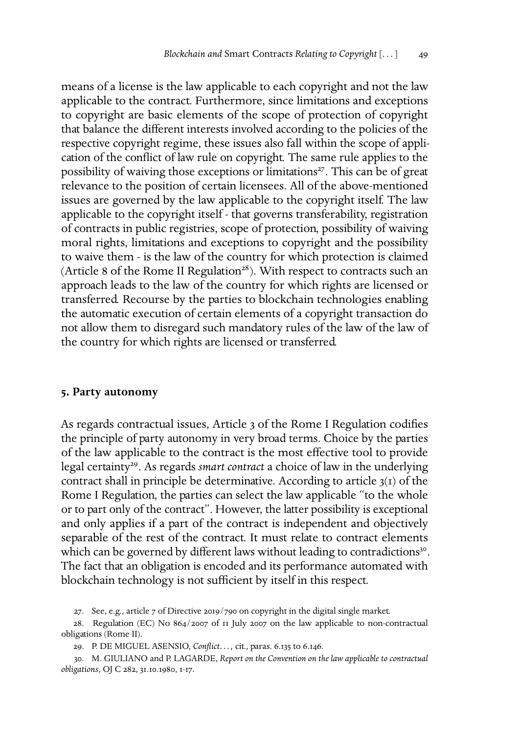means of a license is the law applicable to each copyright and not the law applicable to the contract. Furthermore, since limitations and exceptions to copyright are basic elements of the scope of protection of copyright that balance the different interests involved according to the policies of the respective copyright regime, these issues also fall within the scope of application of the conflict of law rule on copyright. The same rule applies to the possibility of waiving those exceptions or limitations<sup>27</sup>. This can be of great relevance to the position of certain licensees. All of the above-mentioned issues are governed by the law applicable to the copyright itself. The law applicable to the copyright itself - that governs transferability, registration of contracts in public registries, scope of protection, possibility of waiving moral rights, limitations and exceptions to copyright and the possibility to waive them - is the law of the country for which protection is claimed (Article 8 of the Rome II Regulation<sup>28</sup>). With respect to contracts such an approach leads to the law of the country for which rights are licensed or transferred. Recourse by the parties to blockchain technologies enabling the automatic execution of certain elements of a copyright transaction do not allow them to disregard such mandatory rules of the law of the law of the country for which rights are licensed or transferred.

#### **. Party autonomy**

As regards contractual issues, Article 3 of the Rome I Regulation codifies the principle of party autonomy in very broad terms. Choice by the parties of the law applicable to the contract is the most effective tool to provide legal certainty<sup>29</sup>. As regards *smart contract* a choice of law in the underlying contract shall in principle be determinative. According to article  $3(1)$  of the Rome I Regulation, the parties can select the law applicable "to the whole or to part only of the contract". However, the latter possibility is exceptional and only applies if a part of the contract is independent and objectively separable of the rest of the contract. It must relate to contract elements which can be governed by different laws without leading to contradictions . The fact that an obligation is encoded and its performance automated with blockchain technology is not sufficient by itself in this respect.

<span id="page-8-1"></span><span id="page-8-0"></span>27. See, e.g., article  $7$  of Directive 2019/790 on copyright in the digital single market.

28. Regulation (EC) No 864/2007 of  $\pi$  July 2007 on the law applicable to non-contractual obligations (Rome II).

<span id="page-8-3"></span><span id="page-8-2"></span>29. P. DE MIGUEL ASENSIO, *Conflict...*, cit., paras. 6.135 to 6.146.

. M. GIULIANO and P. LAGARDE, *Report on the Convention on the law applicable to contractual obligations*, OJ C 282, 31.10.1980, 1-17.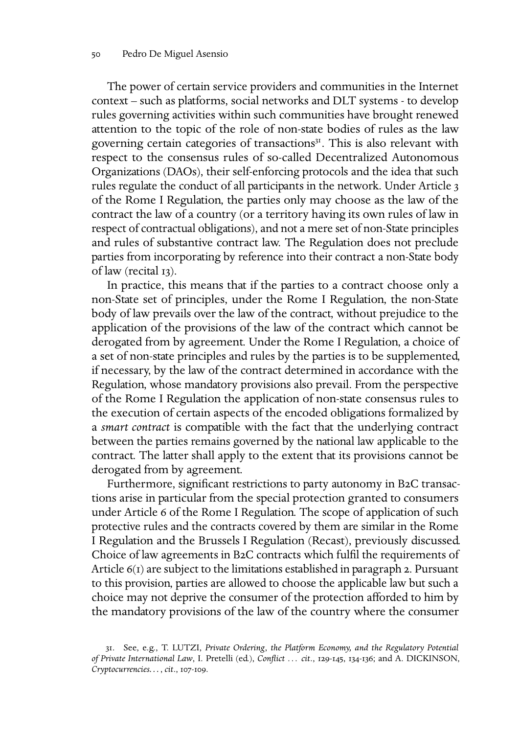The power of certain service providers and communities in the Internet context – such as platforms, social networks and DLT systems - to develop rules governing activities within such communities have brought renewed attention to the topic of the role of non-state bodies of rules as the law governing certain categories of transactions<sup>31</sup>. This is also relevant with respect to the consensus rules of so-called Decentralized Autonomous Organizations (DAOs), their self-enforcing protocols and the idea that such rules regulate the conduct of all participants in the network. Under Article of the Rome I Regulation, the parties only may choose as the law of the contract the law of a country (or a territory having its own rules of law in respect of contractual obligations), and not a mere set of non-State principles and rules of substantive contract law. The Regulation does not preclude parties from incorporating by reference into their contract a non-State body of law (recital 13).

In practice, this means that if the parties to a contract choose only a non-State set of principles, under the Rome I Regulation, the non-State body of law prevails over the law of the contract, without prejudice to the application of the provisions of the law of the contract which cannot be derogated from by agreement. Under the Rome I Regulation, a choice of a set of non-state principles and rules by the parties is to be supplemented, if necessary, by the law of the contract determined in accordance with the Regulation, whose mandatory provisions also prevail. From the perspective of the Rome I Regulation the application of non-state consensus rules to the execution of certain aspects of the encoded obligations formalized by a *smart contract* is compatible with the fact that the underlying contract between the parties remains governed by the national law applicable to the contract. The latter shall apply to the extent that its provisions cannot be derogated from by agreement.

Furthermore, significant restrictions to party autonomy in B2C transactions arise in particular from the special protection granted to consumers under Article 6 of the Rome I Regulation. The scope of application of such protective rules and the contracts covered by them are similar in the Rome I Regulation and the Brussels I Regulation (Recast), previously discussed. Choice of law agreements in B2C contracts which fulfil the requirements of Article  $6(1)$  are subject to the limitations established in paragraph 2. Pursuant to this provision, parties are allowed to choose the applicable law but such a choice may not deprive the consumer of the protection afforded to him by the mandatory provisions of the law of the country where the consumer

<span id="page-9-0"></span><sup>.</sup> See, e.g., T. LUTZI, *Private Ordering*, *the Platform Economy, and the Regulatory Potential of Private International Law*, I. Pretelli (ed.), *Conflict* ... *cit.*, 129-145, 134-136; and A. DICKINSON, *Cryptocurrencies..., cit., 107-109.*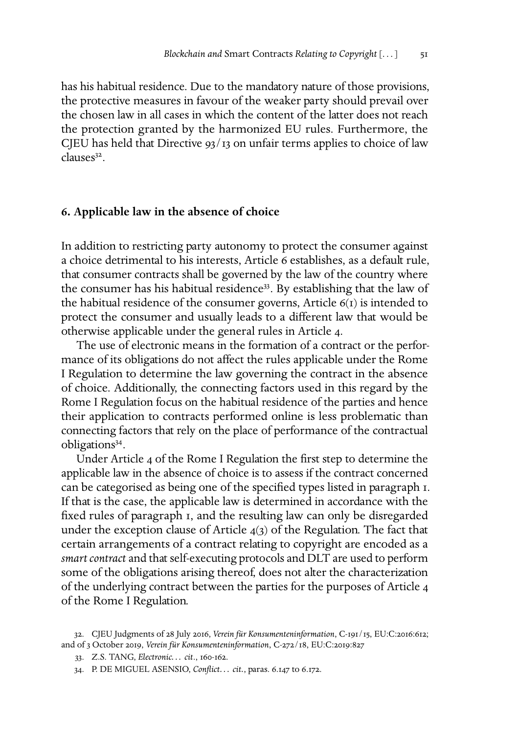has his habitual residence. Due to the mandatory nature of those provisions, the protective measures in favour of the weaker party should prevail over the chosen law in all cases in which the content of the latter does not reach the protection granted by the harmonized EU rules. Furthermore, the CJEU has held that Directive  $93/13$  on unfair terms applies to choice of law clauses .

### <span id="page-10-0"></span>**. Applicable law in the absence of choice**

In addition to restricting party autonomy to protect the consumer against a choice detrimental to his interests, Article 6 establishes, as a default rule, that consumer contracts shall be governed by the law of the country where the consumer has his habitual residence<sup>33</sup>. By establishing that the law of the habitual residence of the consumer governs, Article  $6(1)$  is intended to protect the consumer and usually leads to a different law that would be otherwise applicable under the general rules in Article 4.

The use of electronic means in the formation of a contract or the performance of its obligations do not affect the rules applicable under the Rome I Regulation to determine the law governing the contract in the absence of choice. Additionally, the connecting factors used in this regard by the Rome I Regulation focus on the habitual residence of the parties and hence their application to contracts performed online is less problematic than connecting factors that rely on the place of performance of the contractual obligations .

Under Article 4 of the Rome I Regulation the first step to determine the applicable law in the absence of choice is to assess if the contract concerned can be categorised as being one of the specified types listed in paragraph . If that is the case, the applicable law is determined in accordance with the fixed rules of paragraph I, and the resulting law can only be disregarded under the exception clause of Article  $4(3)$  of the Regulation. The fact that certain arrangements of a contract relating to copyright are encoded as a *smart contract* and that self-executing protocols and DLT are used to perform some of the obligations arising thereof, does not alter the characterization of the underlying contract between the parties for the purposes of Article of the Rome I Regulation.

<span id="page-10-1"></span><sup>32.</sup> CJEU Judgments of 28 July 2016, Verein für Konsumenteninformation, C-191/15, EU:C:2016:612; and of 3 October 2019, Verein für Konsumenteninformation, C-272/18, EU:C:2019:827

<span id="page-10-2"></span><sup>33.</sup> Z.S. TANG, *Electronic... cit.*, 160-162.

<span id="page-10-3"></span><sup>34.</sup> P. DE MIGUEL ASENSIO, *Conflict...* cit., paras. 6.147 to 6.172.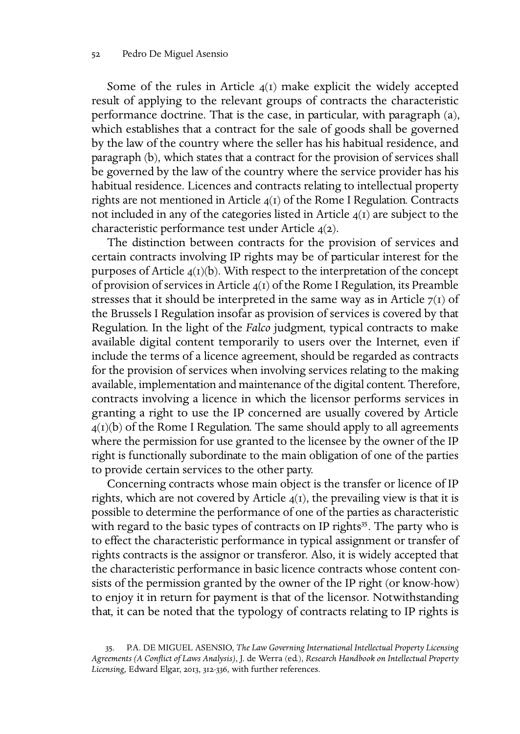Some of the rules in Article  $4(I)$  make explicit the widely accepted result of applying to the relevant groups of contracts the characteristic performance doctrine. That is the case, in particular, with paragraph (a), which establishes that a contract for the sale of goods shall be governed by the law of the country where the seller has his habitual residence, and paragraph (b), which states that a contract for the provision of services shall be governed by the law of the country where the service provider has his habitual residence. Licences and contracts relating to intellectual property rights are not mentioned in Article  $4(1)$  of the Rome I Regulation. Contracts not included in any of the categories listed in Article  $\mathfrak{q}(1)$  are subject to the characteristic performance test under Article  $4(2)$ .

The distinction between contracts for the provision of services and certain contracts involving IP rights may be of particular interest for the purposes of Article  $4(I)(b)$ . With respect to the interpretation of the concept of provision of services in Article  $\mathfrak{q}(I)$  of the Rome I Regulation, its Preamble stresses that it should be interpreted in the same way as in Article  $7(1)$  of the Brussels I Regulation insofar as provision of services is covered by that Regulation. In the light of the *Falco* judgment, typical contracts to make available digital content temporarily to users over the Internet, even if include the terms of a licence agreement, should be regarded as contracts for the provision of services when involving services relating to the making available, implementation and maintenance of the digital content. Therefore, contracts involving a licence in which the licensor performs services in granting a right to use the IP concerned are usually covered by Article  $4(I)(b)$  of the Rome I Regulation. The same should apply to all agreements where the permission for use granted to the licensee by the owner of the IP right is functionally subordinate to the main obligation of one of the parties to provide certain services to the other party.

Concerning contracts whose main object is the transfer or licence of IP rights, which are not covered by Article  $q(t)$ , the prevailing view is that it is possible to determine the performance of one of the parties as characteristic with regard to the basic types of contracts on IP rights $35$ . The party who is to effect the characteristic performance in typical assignment or transfer of rights contracts is the assignor or transferor. Also, it is widely accepted that the characteristic performance in basic licence contracts whose content consists of the permission granted by the owner of the IP right (or know-how) to enjoy it in return for payment is that of the licensor. Notwithstanding that, it can be noted that the typology of contracts relating to IP rights is

<span id="page-11-0"></span><sup>.</sup> P.A. DE MIGUEL ASENSIO, *The Law Governing International Intellectual Property Licensing Agreements (A Conflict of Laws Analysis)*, J. de Werra (ed.), *Research Handbook on Intellectual Property* Licensing, Edward Elgar, 2013, 312-336, with further references.